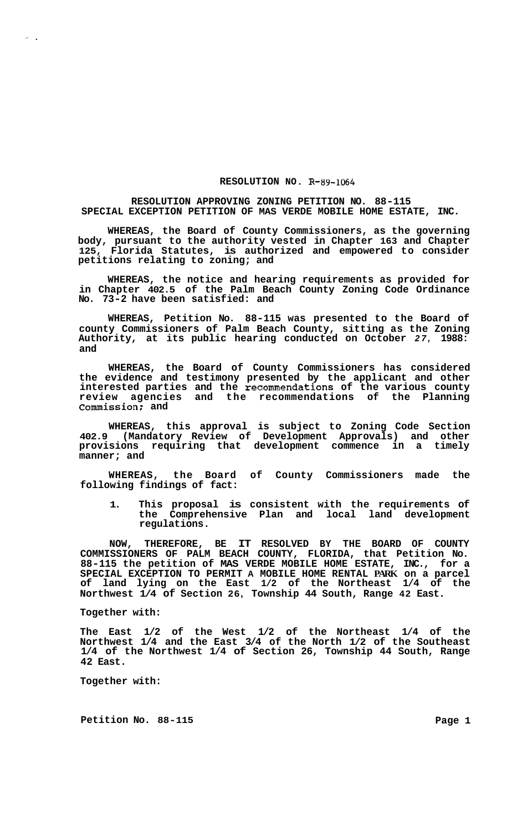## **RESOLUTION NO R-89-1064**

## **RESOLUTION APPROVING ZONING PETITION NO. 88-115 SPECIAL EXCEPTION PETITION OF MAS VERDE MOBILE HOME ESTATE, INC.**

**WHEREAS, the Board of County Commissioners, as the governing body, pursuant to the authority vested in Chapter 163 and Chapter 125, Florida Statutes, is authorized and empowered to consider petitions relating to zoning; and** 

**WHEREAS, the notice and hearing requirements as provided for in Chapter 402.5 of the Palm Beach County Zoning Code Ordinance No. 73-2 have been satisfied: and** 

**WHEREAS, Petition No. 88-115 was presented to the Board of county Commissioners of Palm Beach County, sitting as the Zoning Authority, at its public hearing conducted on October** *27,* **1988: and** 

**WHEREAS, the Board of County Commissioners has considered the evidence and testimony presented by the applicant and other interested parties and the recommendations of the various county review agencies and the recommendations of the Planning Commission; and** 

**WHEREAS, this approval is subject to Zoning Code Section 402.9 (Mandatory Review of Development Approvals) and other provisions requiring that development commence in a timely manner; and** 

**WHEREAS, the Board of County Commissioners made the following findings of fact:** 

**1. This proposal is consistent with the requirements of the Comprehensive Plan and local land development regulations.** 

**NOW, THEREFORE, BE IT RESOLVED BY THE BOARD OF COUNTY COMMISSIONERS OF PALM BEACH COUNTY, FLORIDA, that Petition No. 88-115 the petition of MAS VERDE MOBILE HOME ESTATE, INC., for a SPECIAL EXCEPTION TO PERMIT A MOBILE HOME RENTAL PARK on a parcel of land lying on the East 1/2 of the Northeast 1/4 of the Northwest 1/4 of Section 26, Township 44 South, Range 42 East.** 

## **Together with:**

**The East 1/2 of the West 1/2 of the Northeast 1/4 of the Northwest 1/4 and the East 3/4 of the North 1/2 of the Southeast 1/4 of the Northwest 1/4 of Section 26, Township 44 South, Range 42 East.** 

**Together with:** 

**Petition No.** 88-115 **Page 1**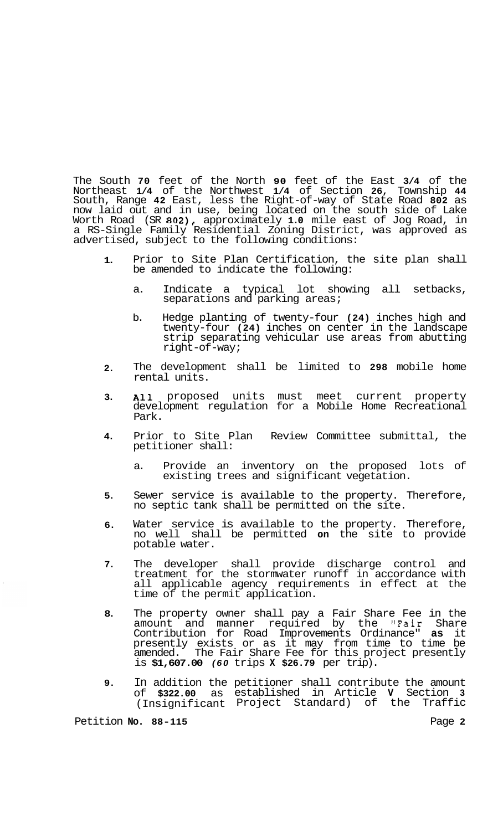The South **70** feet of the North **90** feet of the East **3/4** of the Northeast **1/4** of the Northwest **1/4** of Section **26,** Township **44**  South, Range **42** East, less the Right-of-way of State Road **802** as now laid out and in use, being located on the south side of Lake Worth Road (SR **802),** approximately **1.0** mile east of Jog Road, in a RS-Single Family Residential Zoning District, was approved as advertised, subject to the following conditions:

- **1.**  Prior to Site Plan Certification, the site plan shall be amended to indicate the following:
	- a. Indicate a typical lot showing all setbacks, separations and parking areas;
	- b. Hedge planting of twenty-four **(24)** inches high and twenty-four (24) inches on center in the landscape strip separating vehicular use areas from abutting right-of-way;
- **2.**  The development shall be limited to **298** mobile home rental units.
- **3.**  All proposed units must meet current property development regulation for a Mobile Home Recreational Park.
- **4.**  Prior to Site Plan Review Committee submittal, the petitioner shall:
	- a. Provide an inventory on the proposed lots of existing trees and significant vegetation.
- **5.**  Sewer service is available to the property. Therefore, no septic tank shall be permitted on the site.
- **6.**  Water service is available to the property. Therefore, no well shall be permitted **on** the site to provide potable water.
- **7.**  The developer shall provide discharge control and treatment for the stormwater runoff in accordance with all applicable agency requirements in effect at the time of the permit application.
- **8.**  The property owner shall pay a Fair Share Fee in the amount and manner required by the "Fair Share Contribution for Road Improvements Ordinance" **as** it presently exists or as it may from time to time be amended. The Fair Share Fee for this project presently is **\$1,607.00** *(60* trips **X \$26.79** per trip).
- **9.**  In addition the petitioner shall contribute the amount of **\$322.00** as established in Article **V** Section **<sup>3</sup>** (Insignificant Project Standard) of the Traffic

Petition **No. 88-115** Page **2**